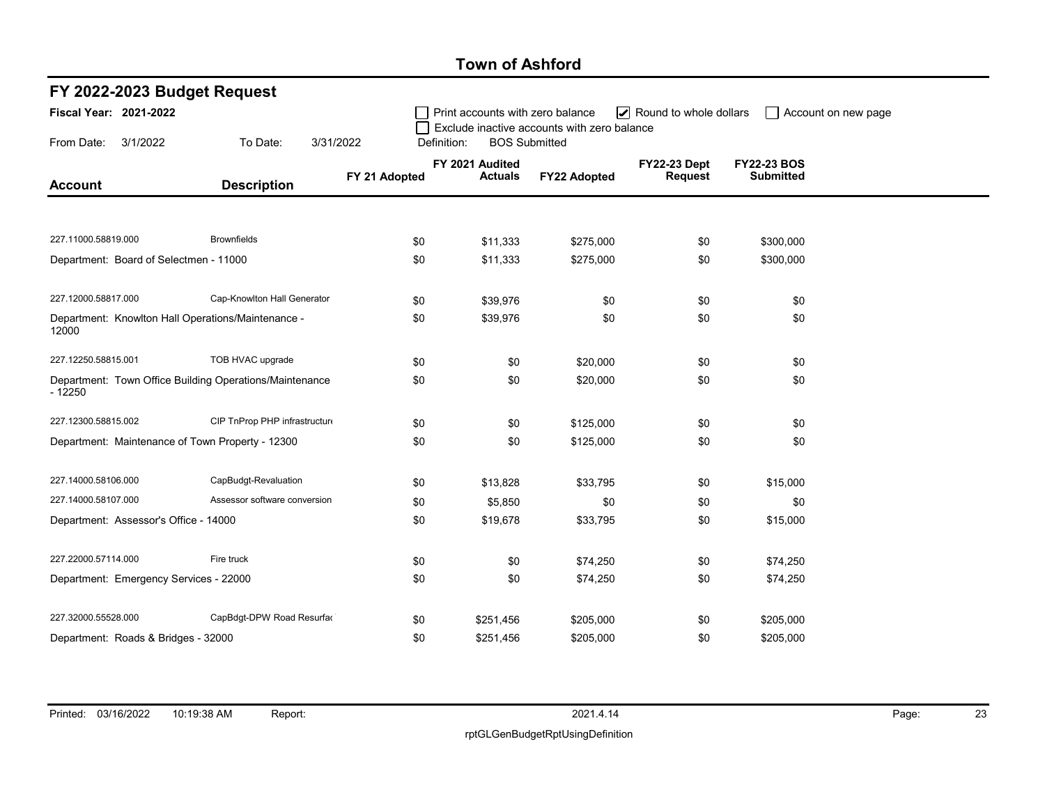## Town of Ashford

| FY 2022-2023 Budget Request                                         |                               |               |                                   |                                             |                                       |                                        |                     |  |  |  |  |
|---------------------------------------------------------------------|-------------------------------|---------------|-----------------------------------|---------------------------------------------|---------------------------------------|----------------------------------------|---------------------|--|--|--|--|
| <b>Fiscal Year: 2021-2022</b>                                       |                               |               | Print accounts with zero balance  | Exclude inactive accounts with zero balance | Round to whole dollars                |                                        | Account on new page |  |  |  |  |
| From Date:<br>3/1/2022                                              | To Date:<br>3/31/2022         | Definition:   | <b>BOS Submitted</b>              |                                             |                                       |                                        |                     |  |  |  |  |
| <b>Account</b>                                                      | <b>Description</b>            | FY 21 Adopted | FY 2021 Audited<br><b>Actuals</b> | FY22 Adopted                                | <b>FY22-23 Dept</b><br><b>Request</b> | <b>FY22-23 BOS</b><br><b>Submitted</b> |                     |  |  |  |  |
|                                                                     |                               |               |                                   |                                             |                                       |                                        |                     |  |  |  |  |
| 227.11000.58819.000                                                 | <b>Brownfields</b>            | \$0           | \$11,333                          | \$275,000                                   | \$0                                   | \$300,000                              |                     |  |  |  |  |
| Department: Board of Selectmen - 11000                              |                               | \$0           | \$11,333                          | \$275,000                                   | \$0                                   | \$300,000                              |                     |  |  |  |  |
| 227.12000.58817.000                                                 | Cap-Knowlton Hall Generator   | \$0           | \$39,976                          | \$0                                         | \$0                                   | \$0                                    |                     |  |  |  |  |
| Department: Knowlton Hall Operations/Maintenance -<br>12000         |                               | \$0           | \$39,976                          | \$0                                         | \$0                                   | \$0                                    |                     |  |  |  |  |
| 227.12250.58815.001                                                 | TOB HVAC upgrade              | \$0           | \$0                               | \$20,000                                    | \$0                                   | \$0                                    |                     |  |  |  |  |
| Department: Town Office Building Operations/Maintenance<br>$-12250$ |                               | \$0           | \$0                               | \$20,000                                    | \$0                                   | \$0                                    |                     |  |  |  |  |
| 227.12300.58815.002                                                 | CIP TnProp PHP infrastructure | \$0           | \$0                               | \$125,000                                   | \$0                                   | \$0                                    |                     |  |  |  |  |
| Department: Maintenance of Town Property - 12300                    |                               | \$0           | \$0                               | \$125,000                                   | \$0                                   | \$0                                    |                     |  |  |  |  |
| 227.14000.58106.000                                                 | CapBudgt-Revaluation          | \$0           | \$13,828                          | \$33,795                                    | \$0                                   | \$15,000                               |                     |  |  |  |  |
| 227.14000.58107.000                                                 | Assessor software conversion  | \$0           | \$5,850                           | \$0                                         | \$0                                   | \$0                                    |                     |  |  |  |  |
| Department: Assessor's Office - 14000                               |                               | \$0           | \$19,678                          | \$33,795                                    | \$0                                   | \$15,000                               |                     |  |  |  |  |
| 227.22000.57114.000                                                 | Fire truck                    | \$0           | \$0                               | \$74,250                                    | \$0                                   | \$74,250                               |                     |  |  |  |  |
| Department: Emergency Services - 22000                              |                               | \$0           | \$0                               | \$74,250                                    | \$0                                   | \$74,250                               |                     |  |  |  |  |
| 227.32000.55528.000                                                 | CapBdgt-DPW Road Resurfac     | \$0           | \$251,456                         | \$205,000                                   | \$0                                   | \$205,000                              |                     |  |  |  |  |
| Department: Roads & Bridges - 32000                                 |                               | \$0           | \$251,456                         | \$205,000                                   | \$0                                   | \$205,000                              |                     |  |  |  |  |

٠